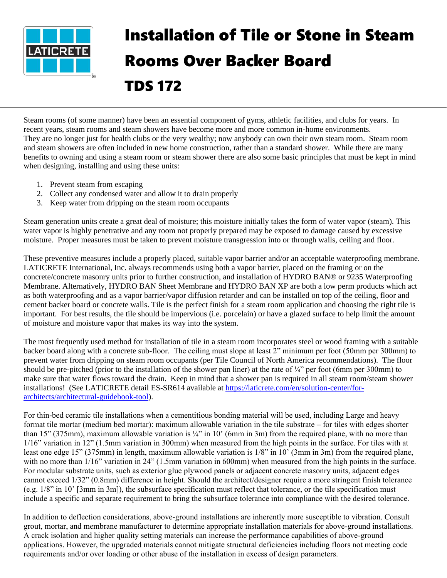

## Installation of Tile or Stone in Steam Rooms Over Backer Board TDS 172

Steam rooms (of some manner) have been an essential component of gyms, athletic facilities, and clubs for years. In recent years, steam rooms and steam showers have become more and more common in-home environments. They are no longer just for health clubs or the very wealthy; now anybody can own their own steam room. Steam room and steam showers are often included in new home construction, rather than a standard shower. While there are many benefits to owning and using a steam room or steam shower there are also some basic principles that must be kept in mind when designing, installing and using these units:

- 1. Prevent steam from escaping
- 2. Collect any condensed water and allow it to drain properly
- 3. Keep water from dripping on the steam room occupants

Steam generation units create a great deal of moisture; this moisture initially takes the form of water vapor (steam). This water vapor is highly penetrative and any room not properly prepared may be exposed to damage caused by excessive moisture. Proper measures must be taken to prevent moisture transgression into or through walls, ceiling and floor.

These preventive measures include a properly placed, suitable vapor barrier and/or an acceptable waterproofing membrane. LATICRETE International, Inc. always recommends using both a vapor barrier, placed on the framing or on the concrete/concrete masonry units prior to further construction, and installation of HYDRO BAN® or 9235 Waterproofing Membrane. Alternatively, HYDRO BAN Sheet Membrane and HYDRO BAN XP are both a low perm products which act as both waterproofing and as a vapor barrier/vapor diffusion retarder and can be installed on top of the ceiling, floor and cement backer board or concrete walls. Tile is the perfect finish for a steam room application and choosing the right tile is important. For best results, the tile should be impervious (i.e. porcelain) or have a glazed surface to help limit the amount of moisture and moisture vapor that makes its way into the system.

The most frequently used method for installation of tile in a steam room incorporates steel or wood framing with a suitable backer board along with a concrete sub-floor. The ceiling must slope at least 2" minimum per foot (50mm per 300mm) to prevent water from dripping on steam room occupants (per Tile Council of North America recommendations). The floor should be pre-pitched (prior to the installation of the shower pan liner) at the rate of  $\frac{1}{4}$ " per foot (6mm per 300mm) to make sure that water flows toward the drain. Keep in mind that a shower pan is required in all steam room/steam shower installations! (See LATICRETE detail ES-SR614 available at [https://laticrete.com/en/solution-center/for](https://laticrete.com/en/solution-center/for-architects/architectural-guidebook-tool)[architects/architectural-guidebook-tool\)](https://laticrete.com/en/solution-center/for-architects/architectural-guidebook-tool).

For thin-bed ceramic tile installations when a cementitious bonding material will be used, including Large and heavy format tile mortar (medium bed mortar): maximum allowable variation in the tile substrate – for tiles with edges shorter than 15" (375mm), maximum allowable variation is  $\frac{1}{4}$ " in 10' (6mm in 3m) from the required plane, with no more than 1/16" variation in 12" (1.5mm variation in 300mm) when measured from the high points in the surface. For tiles with at least one edge 15" (375mm) in length, maximum allowable variation is 1/8" in 10' (3mm in 3m) from the required plane, with no more than  $1/16$ " variation in 24" (1.5mm variation in 600mm) when measured from the high points in the surface. For modular substrate units, such as exterior glue plywood panels or adjacent concrete masonry units, adjacent edges cannot exceed 1/32" (0.8mm) difference in height. Should the architect/designer require a more stringent finish tolerance (e.g. 1/8" in 10' [3mm in 3m]), the subsurface specification must reflect that tolerance, or the tile specification must include a specific and separate requirement to bring the subsurface tolerance into compliance with the desired tolerance.

In addition to deflection considerations, above-ground installations are inherently more susceptible to vibration. Consult grout, mortar, and membrane manufacturer to determine appropriate installation materials for above-ground installations. A crack isolation and higher quality setting materials can increase the performance capabilities of above-ground applications. However, the upgraded materials cannot mitigate structural deficiencies including floors not meeting code requirements and/or over loading or other abuse of the installation in excess of design parameters.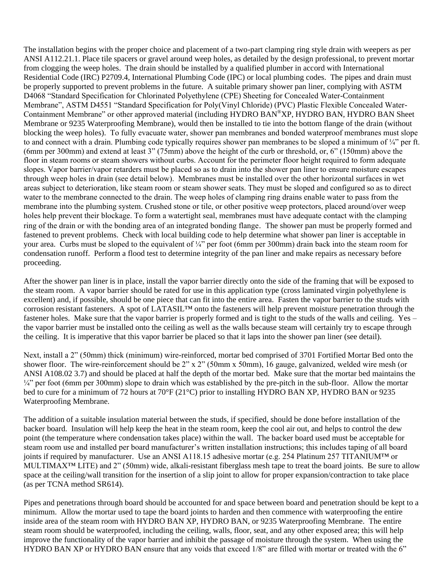The installation begins with the proper choice and placement of a two-part clamping ring style drain with weepers as per ANSI A112.21.1. Place tile spacers or gravel around weep holes, as detailed by the design professional, to prevent mortar from clogging the weep holes. The drain should be installed by a qualified plumber in accord with International Residential Code (IRC) P2709.4, International Plumbing Code (IPC) or local plumbing codes. The pipes and drain must be properly supported to prevent problems in the future. A suitable primary shower pan liner, complying with ASTM D4068 "Standard Specification for Chlorinated Polyethylene (CPE) Sheeting for Concealed Water-Containment Membrane", ASTM D4551 "Standard Specification for Poly(Vinyl Chloride) (PVC) Plastic Flexible Concealed Water-Containment Membrane" or other approved material (including HYDRO BAN®XP, HYDRO BAN, HYDRO BAN Sheet Membrane or 9235 Waterproofing Membrane), would then be installed to tie into the bottom flange of the drain (without blocking the weep holes). To fully evacuate water, shower pan membranes and bonded waterproof membranes must slope to and connect with a drain. Plumbing code typically requires shower pan membranes to be sloped a minimum of ¼" per ft. (6mm per 300mm) and extend at least 3" (75mm) above the height of the curb or threshold, or, 6" (150mm) above the floor in steam rooms or steam showers without curbs. Account for the perimeter floor height required to form adequate slopes. Vapor barrier/vapor retarders must be placed so as to drain into the shower pan liner to ensure moisture escapes through weep holes in drain (see detail below). Membranes must be installed over the other horizontal surfaces in wet areas subject to deterioration, like steam room or steam shower seats. They must be sloped and configured so as to direct water to the membrane connected to the drain. The weep holes of clamping ring drains enable water to pass from the membrane into the plumbing system. Crushed stone or tile, or other positive weep protectors, placed around/over weep holes help prevent their blockage. To form a watertight seal, membranes must have adequate contact with the clamping ring of the drain or with the bonding area of an integrated bonding flange. The shower pan must be properly formed and fastened to prevent problems. Check with local building code to help determine what shower pan liner is acceptable in your area. Curbs must be sloped to the equivalent of  $\frac{1}{4}$  per foot (6mm per 300mm) drain back into the steam room for condensation runoff. Perform a flood test to determine integrity of the pan liner and make repairs as necessary before proceeding.

After the shower pan liner is in place, install the vapor barrier directly onto the side of the framing that will be exposed to the steam room. A vapor barrier should be rated for use in this application type (cross laminated virgin polyethylene is excellent) and, if possible, should be one piece that can fit into the entire area. Fasten the vapor barrier to the studs with corrosion resistant fasteners. A spot of LATASIL™ onto the fasteners will help prevent moisture penetration through the fastener holes. Make sure that the vapor barrier is properly formed and is tight to the studs of the walls and ceiling. Yes – the vapor barrier must be installed onto the ceiling as well as the walls because steam will certainly try to escape through the ceiling. It is imperative that this vapor barrier be placed so that it laps into the shower pan liner (see detail).

Next, install a 2" (50mm) thick (minimum) wire-reinforced, mortar bed comprised of 3701 Fortified Mortar Bed onto the shower floor. The wire-reinforcement should be 2" x 2" (50mm x 50mm), 16 gauge, galvanized, welded wire mesh (or ANSI A108.02 3.7) and should be placed at half the depth of the mortar bed. Make sure that the mortar bed maintains the  $\frac{1}{4}$ " per foot (6mm per 300mm) slope to drain which was established by the pre-pitch in the sub-floor. Allow the mortar bed to cure for a minimum of 72 hours at 70°F (21°C) prior to installing HYDRO BAN XP, HYDRO BAN or 9235 Waterproofing Membrane.

The addition of a suitable insulation material between the studs, if specified, should be done before installation of the backer board. Insulation will help keep the heat in the steam room, keep the cool air out, and helps to control the dew point (the temperature where condensation takes place) within the wall. The backer board used must be acceptable for steam room use and installed per board manufacturer's written installation instructions; this includes taping of all board joints if required by manufacturer. Use an ANSI A118.15 adhesive mortar (e.g. 254 Platinum 257 TITANIUM™ or MULTIMAX™ LITE) and 2" (50mm) wide, alkali-resistant fiberglass mesh tape to treat the board joints. Be sure to allow space at the ceiling/wall transition for the insertion of a slip joint to allow for proper expansion/contraction to take place (as per TCNA method SR614).

Pipes and penetrations through board should be accounted for and space between board and penetration should be kept to a minimum. Allow the mortar used to tape the board joints to harden and then commence with waterproofing the entire inside area of the steam room with HYDRO BAN XP, HYDRO BAN, or 9235 Waterproofing Membrane. The entire steam room should be waterproofed, including the ceiling, walls, floor, seat, and any other exposed area; this will help improve the functionality of the vapor barrier and inhibit the passage of moisture through the system. When using the HYDRO BAN XP or HYDRO BAN ensure that any voids that exceed 1/8" are filled with mortar or treated with the 6"